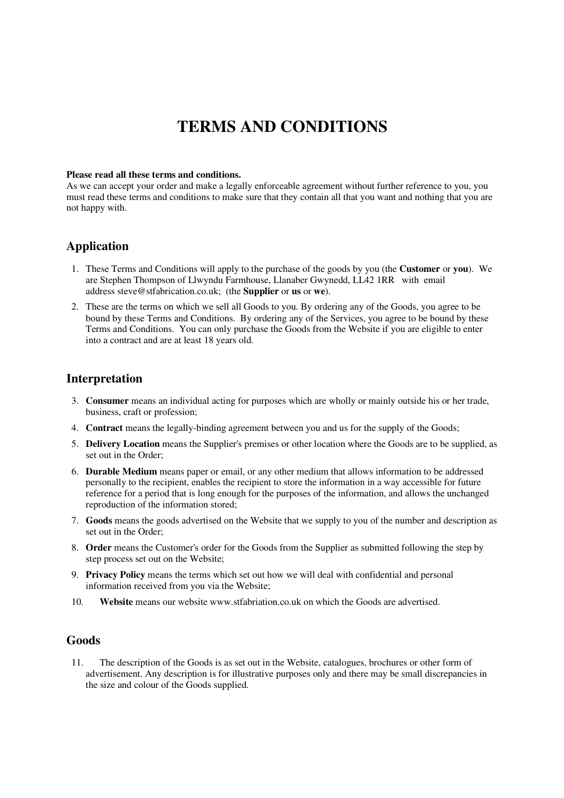# **TERMS AND CONDITIONS**

#### **Please read all these terms and conditions.**

As we can accept your order and make a legally enforceable agreement without further reference to you, you must read these terms and conditions to make sure that they contain all that you want and nothing that you are not happy with.

# **Application**

- 1. These Terms and Conditions will apply to the purchase of the goods by you (the **Customer** or **you**). We are Stephen Thompson of Llwyndu Farmhouse, Llanaber Gwynedd, LL42 1RR with email address steve@stfabrication.co.uk; (the **Supplier** or **us** or **we**).
- 2. These are the terms on which we sell all Goods to you. By ordering any of the Goods, you agree to be bound by these Terms and Conditions. By ordering any of the Services, you agree to be bound by these Terms and Conditions. You can only purchase the Goods from the Website if you are eligible to enter into a contract and are at least 18 years old.

### **Interpretation**

- 3. **Consumer** means an individual acting for purposes which are wholly or mainly outside his or her trade, business, craft or profession;
- 4. **Contract** means the legally-binding agreement between you and us for the supply of the Goods;
- 5. **Delivery Location** means the Supplier's premises or other location where the Goods are to be supplied, as set out in the Order;
- 6. **Durable Medium** means paper or email, or any other medium that allows information to be addressed personally to the recipient, enables the recipient to store the information in a way accessible for future reference for a period that is long enough for the purposes of the information, and allows the unchanged reproduction of the information stored;
- 7. **Goods** means the goods advertised on the Website that we supply to you of the number and description as set out in the Order;
- 8. **Order** means the Customer's order for the Goods from the Supplier as submitted following the step by step process set out on the Website;
- 9. **Privacy Policy** means the terms which set out how we will deal with confidential and personal information received from you via the Website;
- 10. **Website** means our website www.stfabriation.co.uk on which the Goods are advertised.

# **Goods**

11. The description of the Goods is as set out in the Website, catalogues, brochures or other form of advertisement. Any description is for illustrative purposes only and there may be small discrepancies in the size and colour of the Goods supplied.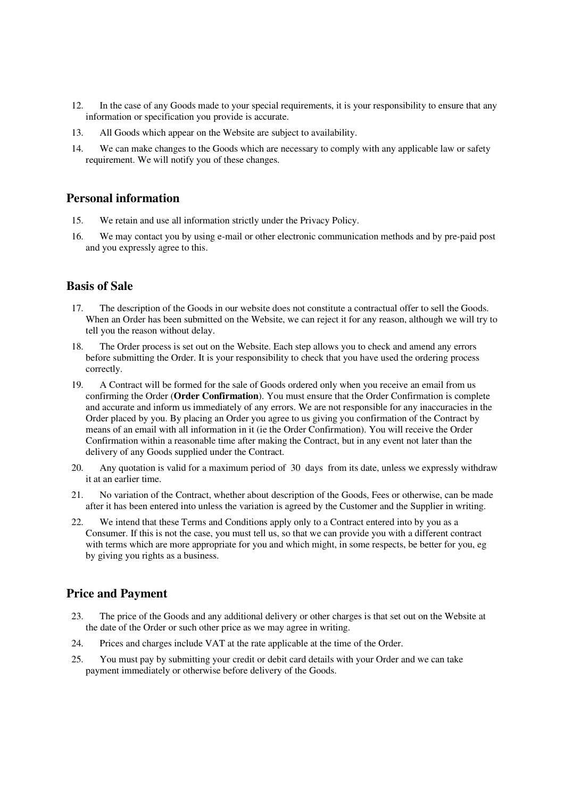- 12. In the case of any Goods made to your special requirements, it is your responsibility to ensure that any information or specification you provide is accurate.
- 13. All Goods which appear on the Website are subject to availability.
- 14. We can make changes to the Goods which are necessary to comply with any applicable law or safety requirement. We will notify you of these changes.

### **Personal information**

- 15. We retain and use all information strictly under the Privacy Policy.
- 16. We may contact you by using e-mail or other electronic communication methods and by pre-paid post and you expressly agree to this.

# **Basis of Sale**

- 17. The description of the Goods in our website does not constitute a contractual offer to sell the Goods. When an Order has been submitted on the Website, we can reject it for any reason, although we will try to tell you the reason without delay.
- 18. The Order process is set out on the Website. Each step allows you to check and amend any errors before submitting the Order. It is your responsibility to check that you have used the ordering process correctly.
- 19. A Contract will be formed for the sale of Goods ordered only when you receive an email from us confirming the Order (**Order Confirmation**). You must ensure that the Order Confirmation is complete and accurate and inform us immediately of any errors. We are not responsible for any inaccuracies in the Order placed by you. By placing an Order you agree to us giving you confirmation of the Contract by means of an email with all information in it (ie the Order Confirmation). You will receive the Order Confirmation within a reasonable time after making the Contract, but in any event not later than the delivery of any Goods supplied under the Contract.
- 20. Any quotation is valid for a maximum period of 30 days from its date, unless we expressly withdraw it at an earlier time.
- 21. No variation of the Contract, whether about description of the Goods, Fees or otherwise, can be made after it has been entered into unless the variation is agreed by the Customer and the Supplier in writing.
- 22. We intend that these Terms and Conditions apply only to a Contract entered into by you as a Consumer. If this is not the case, you must tell us, so that we can provide you with a different contract with terms which are more appropriate for you and which might, in some respects, be better for you, eg by giving you rights as a business.

# **Price and Payment**

- 23. The price of the Goods and any additional delivery or other charges is that set out on the Website at the date of the Order or such other price as we may agree in writing.
- 24. Prices and charges include VAT at the rate applicable at the time of the Order.
- 25. You must pay by submitting your credit or debit card details with your Order and we can take payment immediately or otherwise before delivery of the Goods.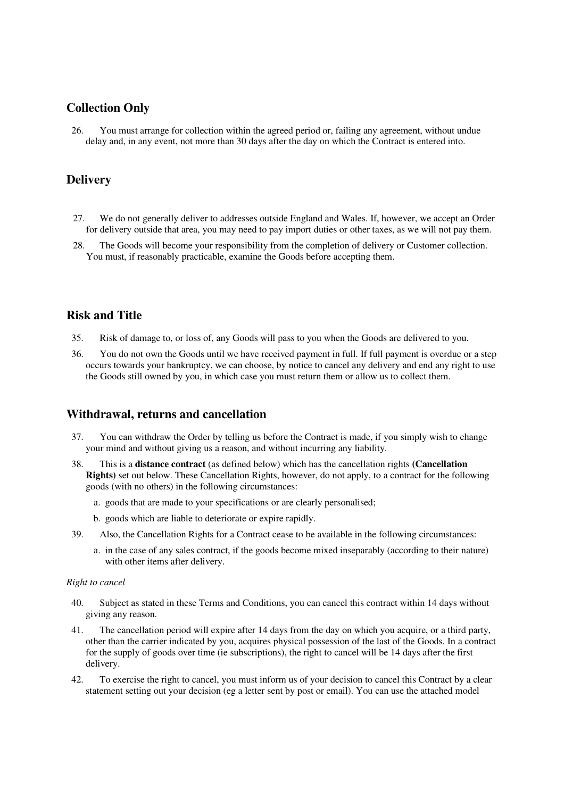# **Collection Only**

26. You must arrange for collection within the agreed period or, failing any agreement, without undue delay and, in any event, not more than 30 days after the day on which the Contract is entered into.

# **Delivery**

- 27. We do not generally deliver to addresses outside England and Wales. If, however, we accept an Order for delivery outside that area, you may need to pay import duties or other taxes, as we will not pay them.
- 28. The Goods will become your responsibility from the completion of delivery or Customer collection. You must, if reasonably practicable, examine the Goods before accepting them.

# **Risk and Title**

- 35. Risk of damage to, or loss of, any Goods will pass to you when the Goods are delivered to you.
- 36. You do not own the Goods until we have received payment in full. If full payment is overdue or a step occurs towards your bankruptcy, we can choose, by notice to cancel any delivery and end any right to use the Goods still owned by you, in which case you must return them or allow us to collect them.

# **Withdrawal, returns and cancellation**

- 37. You can withdraw the Order by telling us before the Contract is made, if you simply wish to change your mind and without giving us a reason, and without incurring any liability.
- 38. This is a **distance contract** (as defined below) which has the cancellation rights **(Cancellation Rights)** set out below. These Cancellation Rights, however, do not apply, to a contract for the following goods (with no others) in the following circumstances:
	- a. goods that are made to your specifications or are clearly personalised;
	- b. goods which are liable to deteriorate or expire rapidly.
- 39. Also, the Cancellation Rights for a Contract cease to be available in the following circumstances:
	- a. in the case of any sales contract, if the goods become mixed inseparably (according to their nature) with other items after delivery.

#### *Right to cancel*

- 40. Subject as stated in these Terms and Conditions, you can cancel this contract within 14 days without giving any reason.
- 41. The cancellation period will expire after 14 days from the day on which you acquire, or a third party, other than the carrier indicated by you, acquires physical possession of the last of the Goods. In a contract for the supply of goods over time (ie subscriptions), the right to cancel will be 14 days after the first delivery.
- 42. To exercise the right to cancel, you must inform us of your decision to cancel this Contract by a clear statement setting out your decision (eg a letter sent by post or email). You can use the attached model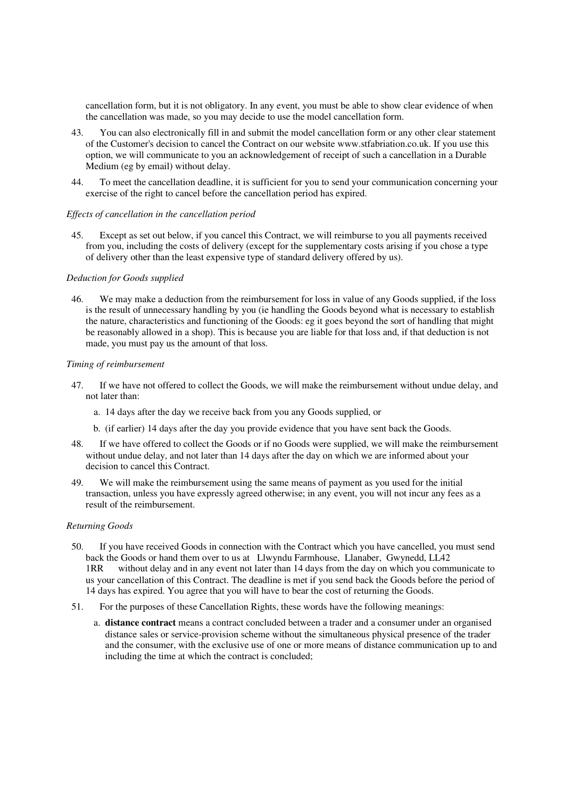cancellation form, but it is not obligatory. In any event, you must be able to show clear evidence of when the cancellation was made, so you may decide to use the model cancellation form.

- 43. You can also electronically fill in and submit the model cancellation form or any other clear statement of the Customer's decision to cancel the Contract on our website www.stfabriation.co.uk. If you use this option, we will communicate to you an acknowledgement of receipt of such a cancellation in a Durable Medium (eg by email) without delay.
- 44. To meet the cancellation deadline, it is sufficient for you to send your communication concerning your exercise of the right to cancel before the cancellation period has expired.

#### *Effects of cancellation in the cancellation period*

45. Except as set out below, if you cancel this Contract, we will reimburse to you all payments received from you, including the costs of delivery (except for the supplementary costs arising if you chose a type of delivery other than the least expensive type of standard delivery offered by us).

#### *Deduction for Goods supplied*

46. We may make a deduction from the reimbursement for loss in value of any Goods supplied, if the loss is the result of unnecessary handling by you (ie handling the Goods beyond what is necessary to establish the nature, characteristics and functioning of the Goods: eg it goes beyond the sort of handling that might be reasonably allowed in a shop). This is because you are liable for that loss and, if that deduction is not made, you must pay us the amount of that loss.

#### *Timing of reimbursement*

- 47. If we have not offered to collect the Goods, we will make the reimbursement without undue delay, and not later than:
	- a. 14 days after the day we receive back from you any Goods supplied, or
	- b. (if earlier) 14 days after the day you provide evidence that you have sent back the Goods.
- 48. If we have offered to collect the Goods or if no Goods were supplied, we will make the reimbursement without undue delay, and not later than 14 days after the day on which we are informed about your decision to cancel this Contract.
- 49. We will make the reimbursement using the same means of payment as you used for the initial transaction, unless you have expressly agreed otherwise; in any event, you will not incur any fees as a result of the reimbursement.

#### *Returning Goods*

- 50. If you have received Goods in connection with the Contract which you have cancelled, you must send back the Goods or hand them over to us at Llwyndu Farmhouse, Llanaber, Gwynedd, LL42 1RR without delay and in any event not later than 14 days from the day on which you communicate to us your cancellation of this Contract. The deadline is met if you send back the Goods before the period of 14 days has expired. You agree that you will have to bear the cost of returning the Goods.
- 51. For the purposes of these Cancellation Rights, these words have the following meanings:
	- a. **distance contract** means a contract concluded between a trader and a consumer under an organised distance sales or service-provision scheme without the simultaneous physical presence of the trader and the consumer, with the exclusive use of one or more means of distance communication up to and including the time at which the contract is concluded;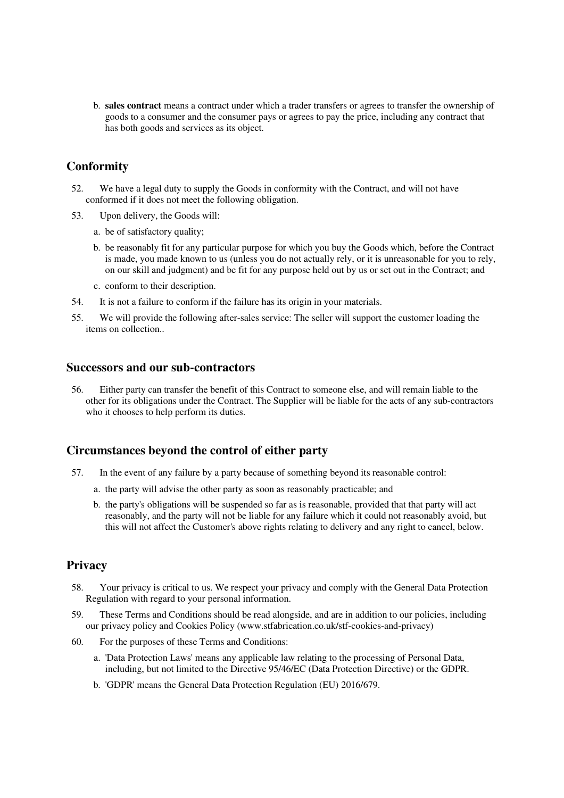b. **sales contract** means a contract under which a trader transfers or agrees to transfer the ownership of goods to a consumer and the consumer pays or agrees to pay the price, including any contract that has both goods and services as its object.

# **Conformity**

- 52. We have a legal duty to supply the Goods in conformity with the Contract, and will not have conformed if it does not meet the following obligation.
- 53. Upon delivery, the Goods will:
	- a. be of satisfactory quality;
	- b. be reasonably fit for any particular purpose for which you buy the Goods which, before the Contract is made, you made known to us (unless you do not actually rely, or it is unreasonable for you to rely, on our skill and judgment) and be fit for any purpose held out by us or set out in the Contract; and
	- c. conform to their description.
- 54. It is not a failure to conform if the failure has its origin in your materials.
- 55. We will provide the following after-sales service: The seller will support the customer loading the items on collection..

# **Successors and our sub-contractors**

56. Either party can transfer the benefit of this Contract to someone else, and will remain liable to the other for its obligations under the Contract. The Supplier will be liable for the acts of any sub-contractors who it chooses to help perform its duties.

# **Circumstances beyond the control of either party**

- 57. In the event of any failure by a party because of something beyond its reasonable control:
	- a. the party will advise the other party as soon as reasonably practicable; and
	- b. the party's obligations will be suspended so far as is reasonable, provided that that party will act reasonably, and the party will not be liable for any failure which it could not reasonably avoid, but this will not affect the Customer's above rights relating to delivery and any right to cancel, below.

# **Privacy**

- 58. Your privacy is critical to us. We respect your privacy and comply with the General Data Protection Regulation with regard to your personal information.
- 59. These Terms and Conditions should be read alongside, and are in addition to our policies, including our privacy policy and Cookies Policy (www.stfabrication.co.uk/stf-cookies-and-privacy)
- 60. For the purposes of these Terms and Conditions:
	- a. 'Data Protection Laws' means any applicable law relating to the processing of Personal Data, including, but not limited to the Directive 95/46/EC (Data Protection Directive) or the GDPR.
	- b. 'GDPR' means the General Data Protection Regulation (EU) 2016/679.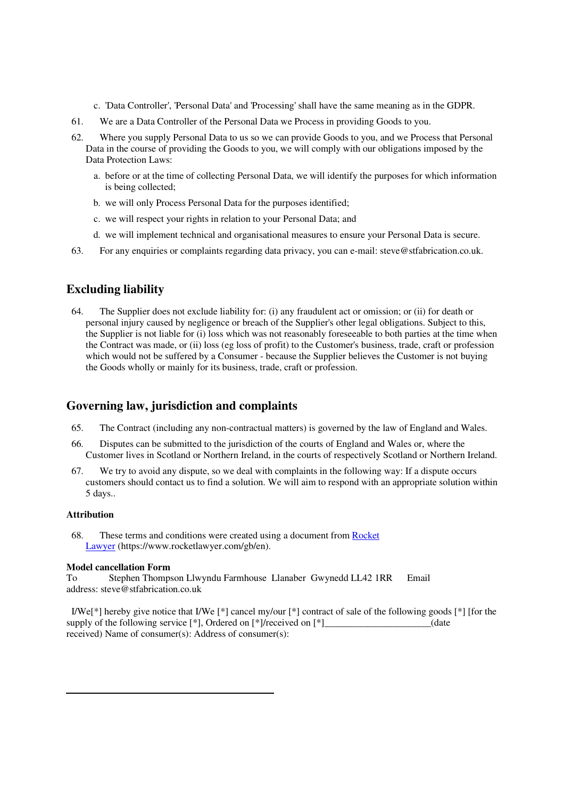- c. 'Data Controller', 'Personal Data' and 'Processing' shall have the same meaning as in the GDPR.
- 61. We are a Data Controller of the Personal Data we Process in providing Goods to you.
- 62. Where you supply Personal Data to us so we can provide Goods to you, and we Process that Personal Data in the course of providing the Goods to you, we will comply with our obligations imposed by the Data Protection Laws:
	- a. before or at the time of collecting Personal Data, we will identify the purposes for which information is being collected;
	- b. we will only Process Personal Data for the purposes identified;
	- c. we will respect your rights in relation to your Personal Data; and
	- d. we will implement technical and organisational measures to ensure your Personal Data is secure.
- 63. For any enquiries or complaints regarding data privacy, you can e-mail: steve@stfabrication.co.uk.

# **Excluding liability**

64. The Supplier does not exclude liability for: (i) any fraudulent act or omission; or (ii) for death or personal injury caused by negligence or breach of the Supplier's other legal obligations. Subject to this, the Supplier is not liable for (i) loss which was not reasonably foreseeable to both parties at the time when the Contract was made, or (ii) loss (eg loss of profit) to the Customer's business, trade, craft or profession which would not be suffered by a Consumer - because the Supplier believes the Customer is not buying the Goods wholly or mainly for its business, trade, craft or profession.

# **Governing law, jurisdiction and complaints**

- 65. The Contract (including any non-contractual matters) is governed by the law of England and Wales.
- 66. Disputes can be submitted to the jurisdiction of the courts of England and Wales or, where the Customer lives in Scotland or Northern Ireland, in the courts of respectively Scotland or Northern Ireland.
- 67. We try to avoid any dispute, so we deal with complaints in the following way: If a dispute occurs customers should contact us to find a solution. We will aim to respond with an appropriate solution within 5 days..

#### **Attribution**

68. These terms and conditions were created using a document from Rocket Lawyer (https://www.rocketlawyer.com/gb/en).

#### **Model cancellation Form**

To Stephen Thompson Llwyndu Farmhouse Llanaber Gwynedd LL42 1RR Email address: steve@stfabrication.co.uk

I/We<sup> $\ket{\ast}$ </sup> hereby give notice that I/We  $\ket{\ast}$  cancel my/our  $\ket{\ast}$  contract of sale of the following goods  $\ket{\ast}$  [for the supply of the following service [\*], Ordered on [\*]/received on [\*]\_\_\_\_\_\_\_\_\_\_\_\_\_\_\_\_\_\_\_\_\_\_(date received) Name of consumer(s): Address of consumer(s):